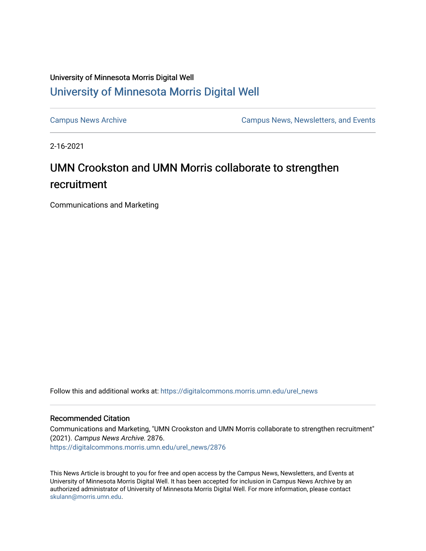## University of Minnesota Morris Digital Well [University of Minnesota Morris Digital Well](https://digitalcommons.morris.umn.edu/)

[Campus News Archive](https://digitalcommons.morris.umn.edu/urel_news) [Campus News, Newsletters, and Events](https://digitalcommons.morris.umn.edu/externalrel) 

2-16-2021

## UMN Crookston and UMN Morris collaborate to strengthen recruitment

Communications and Marketing

Follow this and additional works at: [https://digitalcommons.morris.umn.edu/urel\\_news](https://digitalcommons.morris.umn.edu/urel_news?utm_source=digitalcommons.morris.umn.edu%2Furel_news%2F2876&utm_medium=PDF&utm_campaign=PDFCoverPages) 

## Recommended Citation

Communications and Marketing, "UMN Crookston and UMN Morris collaborate to strengthen recruitment" (2021). Campus News Archive. 2876. [https://digitalcommons.morris.umn.edu/urel\\_news/2876](https://digitalcommons.morris.umn.edu/urel_news/2876?utm_source=digitalcommons.morris.umn.edu%2Furel_news%2F2876&utm_medium=PDF&utm_campaign=PDFCoverPages) 

This News Article is brought to you for free and open access by the Campus News, Newsletters, and Events at University of Minnesota Morris Digital Well. It has been accepted for inclusion in Campus News Archive by an authorized administrator of University of Minnesota Morris Digital Well. For more information, please contact [skulann@morris.umn.edu.](mailto:skulann@morris.umn.edu)